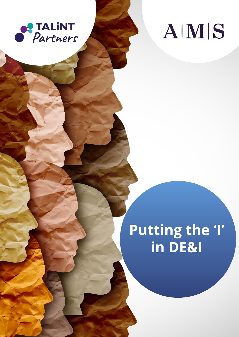

## AMS

# Putting the 'l'<br>in DE&I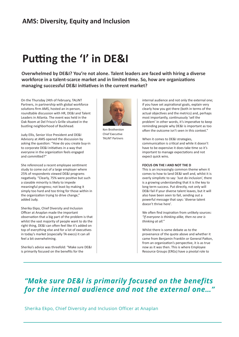### **Putting the 'I' in DE&I**

**Overwhelmed by DE&I? You're not alone. Talent leaders are faced with hiring a diverse workforce in a talent-scarce market and in limited time. So, how are organizations managing successful DE&I initiatives in the current market?**

On the Thursday 24th of February, TALiNT Partners, in partnership with global workforce solutions firm AMS, hosted an in-person, roundtable discussion with HR, DE&I and Talent Leaders in Atlanta. The event was held in the Oak Room at Del Frisco's Grille situated in the bustling neighborhood of Buckhead.

Judy Ellis, Senior Vice President and DE&I Advisory at AMS opened the discussion by asking the question: "How do you create buy-in to corporate DE&I initiatives in a way that everyone in the organization feels engaged and committed?"

She referenced a recent employee sentiment study to come out of a large employer where 25% of respondents viewed DE&I programs negatively. "Clearly, 75% were positive but such a sizeable minority is likely to impede meaningful progress; not least by making it simply too hard and too tiring for those within in the organization trying to drive change," added Judy.

Sherika Ekpo, Chief Diversity and Inclusion Officer at Anaplan made the important observation that a big part of the problem is that whilst the vast majority of people want to do the right thing, DE&I can often feel like it's added on top of everything else and for a lot of executives in today's market (especially TA execs) it can all feel a bit overwhelming.

Sherika's advice was threefold: "Make sure DE&I is primarily focused on the benefits for the



Ken Brotherston Chief Executive TALiNT Partners

internal audience and not only the external one; if you have set aspirational goals, explain very clearly how you got there (both in terms of the actual objectives and the metrics) and, perhaps most importantly, continuously 'sell the problem' in other words, it's imperative to keep reminding people why DE&I is important as too often the outcome isn't seen in this context."

When it comes to DE&I strategies, communication is critical and while it doesn't have to be expensive it does take time so it's important to manage expectations and not expect quick wins.

#### **FOCUS ON THE I AND NOT THE D**

This is an increasingly common theme when it comes to how to land DE&I well and, whilst it is overly simplistic to say: 'Just do inclusion', there is a growing understanding that it is the key to long term success. Put directly, not only will DE&I fail if your diverse talent leaves, but it will also have been seen to fail, sending out a powerful message that says: 'diverse talent doesn't thrive here'. 

We often find inspiration from unlikely sources: *"If everyone is thinking alike, then no one is thinking at all."*

Whilst there is some debate as to the provenance of the quote above and whether it came from Benjamin Franklin or General Patton, from an organization's perspective, it is as true now as it was then. This is where Employee Resource Groups (ERGs) have a pivotal role to

#### *"Make sure DE&I is primarily focused on the benefits for the internal audience and not the external one…"*

Sherika Ekpo, Chief Diversity and Inclusion Officer at Anaplan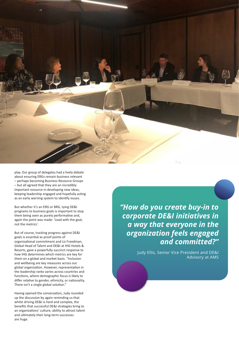

play. Our group of delegates had a lively debate about ensuring ERGs remain business relevant – perhaps becoming Business Resource Groups – but all agreed that they are an incredibly important resource in developing new ideas, keeping leadership engaged and hopefully acting as an early warning system to identify issues. 

But whether it's an ERG or BRG, tying DE&I programs to business goals is important to stop them being seen as purely performative and, again the point was made: 'Lead with the goal, not the metrics'.

But of course, tracking progress against DE&I goals is essential as proof points of organizational commitment and Liz Freedman, Global Head of Talent and DE&I at IHG Hotels & Resorts, gave a powerfully succinct response to how IHG determines which metrics are key for them on a global and market basis. "Inclusion and wellbeing are key measures across our global organization. However, representation in the leadership ranks varies across countries and functions, where demographic focus is likely to differ relative to gender, ethnicity, or nationality. There isn't a single global solution."

Having opened the conversation, Judy rounded up the discussion by again reminding us that whilst driving DE&I is hard and complex, the benefits that successful DE&I strategies bring to an organizations' culture, ability to attract talent and ultimately their long-term successes are huge.

 *"How do you create buy-in to corporate DE&I initiatives in a way that everyone in the organization feels engaged and committed?"*

> Judy Ellis, Senior Vice President and DE&I Advisory at AMS